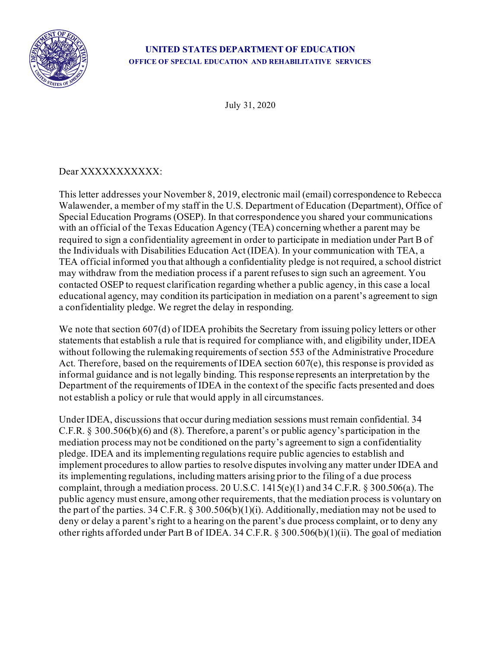

## **UNITED STATES DEPARTMENT OF EDUCATION OFFICE OF SPECIAL EDUCATION AND REHABILITATIVE SERVICES**

July 31, 2020

## Dear XXXXXXXXXXX:

This letter addresses your November 8, 2019, electronic mail (email) correspondence to Rebecca Walawender, a member of my staff in the U.S. Department of Education (Department), Office of Special Education Programs (OSEP). In that correspondence you shared your communications with an official of the Texas Education Agency (TEA) concerning whether a parent may be required to sign a confidentiality agreement in order to participate in mediation under Part B of the Individuals with Disabilities Education Act (IDEA). In your communication with TEA, a TEA official informed you that although a confidentiality pledge is not required, a school district may withdraw from the mediation process if a parent refuses to sign such an agreement. You contacted OSEP to request clarification regarding whether a public agency, in this case a local educational agency, may condition its participation in mediation on a parent's agreement to sign a confidentiality pledge. We regret the delay in responding.

We note that section 607(d) of IDEA prohibits the Secretary from issuing policy letters or other statements that establish a rule that is required for compliance with, and eligibility under, IDEA without following the rulemaking requirements of section 553 of the Administrative Procedure Act. Therefore, based on the requirements of IDEA section 607(e), this response is provided as informal guidance and is not legally binding. This response represents an interpretation by the Department of the requirements of IDEA in the context of the specific facts presented and does not establish a policy or rule that would apply in all circumstances.

Under IDEA, discussions that occur during mediation sessions must remain confidential. 34 C.F.R. § 300.506(b)(6) and (8). Therefore, a parent's or public agency's participation in the mediation process may not be conditioned on the party's agreement to sign a confidentiality pledge. IDEA and its implementing regulations require public agencies to establish and implement procedures to allow parties to resolve disputes involving any matter under IDEA and its implementing regulations, including matters arising prior to the filing of a due process complaint, through a mediation process. 20 U.S.C.  $1415(e)(1)$  and  $34$  C.F.R. § 300.506(a). The public agency must ensure, among other requirements, that the mediation process is voluntary on the part of the parties. 34 C.F.R. § 300.506(b)(1)(i). Additionally, mediation may not be used to deny or delay a parent's right to a hearing on the parent's due process complaint, or to deny any other rights afforded under Part B of IDEA. 34 C.F.R. § 300.506(b)(1)(ii). The goal of mediation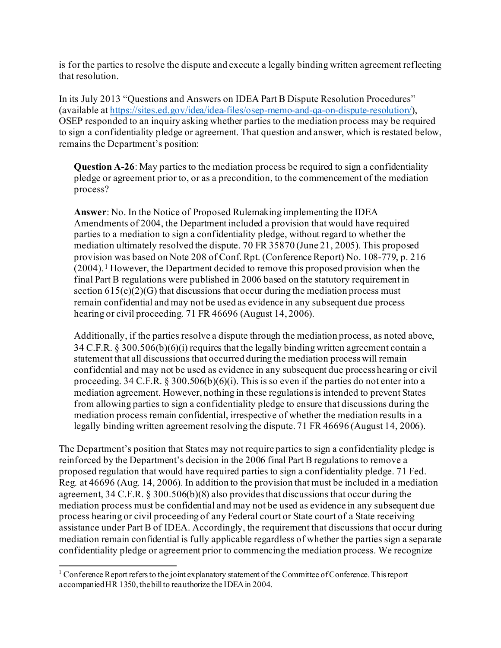is for the parties to resolve the dispute and execute a legally binding written agreement reflecting that resolution.

In its July 2013 "Questions and Answers on IDEA Part B Dispute Resolution Procedures" (available a[t https://sites.ed.gov/idea/idea-files/osep-memo-and-qa-on-dispute-resolution/](https://sites.ed.gov/idea/idea-files/osep-memo-and-qa-on-dispute-resolution/)), OSEP responded to an inquiry asking whether parties to the mediation process may be required to sign a confidentiality pledge or agreement. That question and answer, which is restated below, remains the Department's position:

**Question A-26**: May parties to the mediation process be required to sign a confidentiality pledge or agreement prior to, or as a precondition, to the commencement of the mediation process?

**Answer**: No. In the Notice of Proposed Rulemaking implementing the IDEA Amendments of 2004, the Department included a provision that would have required parties to a mediation to sign a confidentiality pledge, without regard to whether the mediation ultimately resolved the dispute. 70 FR 35870 (June 21, 2005). This proposed provision was based on Note 208 of Conf. Rpt. (Conference Report) No. 108-779, p. 216 (2004). [1](#page-1-0) However, the Department decided to remove this proposed provision when the final Part B regulations were published in 2006 based on the statutory requirement in section  $615(e)(2)(G)$  that discussions that occur during the mediation process must remain confidential and may not be used as evidence in any subsequent due process hearing or civil proceeding. 71 FR 46696 (August 14, 2006).

Additionally, if the parties resolve a dispute through the mediation process, as noted above, 34 C.F.R.  $\S 300.506(b)(6)(i)$  requires that the legally binding written agreement contain a statement that all discussions that occurred during the mediation process will remain confidential and may not be used as evidence in any subsequent due process hearing or civil proceeding. 34 C.F.R.  $\S 300.506(b)(6)(i)$ . This is so even if the parties do not enter into a mediation agreement. However, nothing in these regulations is intended to prevent States from allowing parties to sign a confidentiality pledge to ensure that discussions during the mediation process remain confidential, irrespective of whether the mediation results in a legally binding written agreement resolving the dispute. 71 FR 46696 (August 14, 2006).

The Department's position that States may not require parties to sign a confidentiality pledge is reinforced by the Department's decision in the 2006 final Part B regulations to remove a proposed regulation that would have required parties to sign a confidentiality pledge. 71 Fed. Reg. at 46696 (Aug. 14, 2006). In addition to the provision that must be included in a mediation agreement, 34 C.F.R. § 300.506(b)(8) also provides that discussions that occur during the mediation process must be confidential and may not be used as evidence in any subsequent due process hearing or civil proceeding of any Federal court or State court of a State receiving assistance under Part B of IDEA. Accordingly, the requirement that discussions that occur during mediation remain confidential is fully applicable regardless of whether the parties sign a separate confidentiality pledge or agreement prior to commencing the mediation process. We recognize

<span id="page-1-0"></span><sup>&</sup>lt;sup>1</sup> Conference Report refers to the joint explanatory statement of the Committee of Conference. This report accompanied HR 1350, the bill to reauthorize the IDEA in 2004.